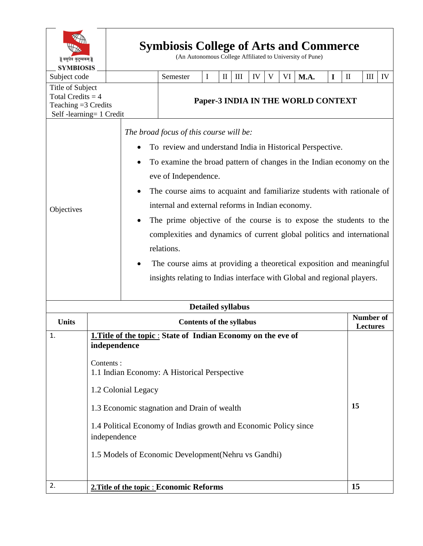| <b>Symbiosis College of Arts and Commerce</b><br>(An Autonomous College Affiliated to University of Pune)<br>   वसुधैव कुटुम्बकम्   <br><b>SYMBIOSIS</b> |                                                                                                                                                                                                                                                                                                                                                                    |                                 |                                                                                                                                                                                                                                                                                                                                                                                                                                                                                                                                                                                                                                                     |                          |                                 |                    |    |   |                                     |      |   |              |   |    |
|----------------------------------------------------------------------------------------------------------------------------------------------------------|--------------------------------------------------------------------------------------------------------------------------------------------------------------------------------------------------------------------------------------------------------------------------------------------------------------------------------------------------------------------|---------------------------------|-----------------------------------------------------------------------------------------------------------------------------------------------------------------------------------------------------------------------------------------------------------------------------------------------------------------------------------------------------------------------------------------------------------------------------------------------------------------------------------------------------------------------------------------------------------------------------------------------------------------------------------------------------|--------------------------|---------------------------------|--------------------|----|---|-------------------------------------|------|---|--------------|---|----|
| Subject code                                                                                                                                             |                                                                                                                                                                                                                                                                                                                                                                    |                                 | Semester                                                                                                                                                                                                                                                                                                                                                                                                                                                                                                                                                                                                                                            | $\bf{I}$                 | $\mathop{\mathrm{II}}\nolimits$ | $\mathop{\rm III}$ | IV | V | VI                                  | M.A. | I | $\mathbf{I}$ | Ш | IV |
| Title of Subject<br>Total Credits = $4$<br>Teaching $=3$ Credits<br>Self-learning= 1 Credit                                                              |                                                                                                                                                                                                                                                                                                                                                                    |                                 | Paper-3 INDIA IN THE WORLD CONTEXT                                                                                                                                                                                                                                                                                                                                                                                                                                                                                                                                                                                                                  |                          |                                 |                    |    |   |                                     |      |   |              |   |    |
| Objectives                                                                                                                                               |                                                                                                                                                                                                                                                                                                                                                                    |                                 | The broad focus of this course will be:<br>To review and understand India in Historical Perspective.<br>To examine the broad pattern of changes in the Indian economy on the<br>eve of Independence.<br>The course aims to acquaint and familiarize students with rationale of<br>internal and external reforms in Indian economy.<br>The prime objective of the course is to expose the students to the<br>complexities and dynamics of current global politics and international<br>relations.<br>The course aims at providing a theoretical exposition and meaningful<br>insights relating to Indias interface with Global and regional players. |                          |                                 |                    |    |   |                                     |      |   |              |   |    |
|                                                                                                                                                          |                                                                                                                                                                                                                                                                                                                                                                    |                                 |                                                                                                                                                                                                                                                                                                                                                                                                                                                                                                                                                                                                                                                     | <b>Detailed syllabus</b> |                                 |                    |    |   |                                     |      |   |              |   |    |
| <b>Units</b>                                                                                                                                             |                                                                                                                                                                                                                                                                                                                                                                    | <b>Contents of the syllabus</b> |                                                                                                                                                                                                                                                                                                                                                                                                                                                                                                                                                                                                                                                     |                          |                                 |                    |    |   | <b>Number of</b><br><b>Lectures</b> |      |   |              |   |    |
| $\mathbf{1}$ .                                                                                                                                           | 1. Title of the topic : State of Indian Economy on the eve of<br>independence<br>Contents:<br>1.1 Indian Economy: A Historical Perspective<br>1.2 Colonial Legacy<br>15<br>1.3 Economic stagnation and Drain of wealth<br>1.4 Political Economy of Indias growth and Economic Policy since<br>independence<br>1.5 Models of Economic Development (Nehru vs Gandhi) |                                 |                                                                                                                                                                                                                                                                                                                                                                                                                                                                                                                                                                                                                                                     |                          |                                 |                    |    |   |                                     |      |   |              |   |    |
| 2.                                                                                                                                                       |                                                                                                                                                                                                                                                                                                                                                                    |                                 | 2. Title of the topic : Economic Reforms                                                                                                                                                                                                                                                                                                                                                                                                                                                                                                                                                                                                            |                          |                                 |                    |    |   |                                     |      |   | 15           |   |    |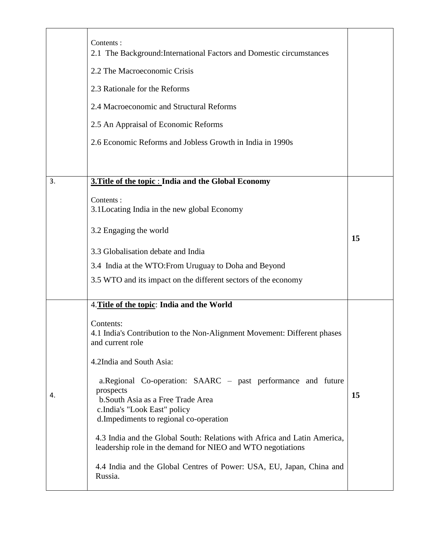|    | Contents:<br>2.1 The Background: International Factors and Domestic circumstances<br>2.2 The Macroeconomic Crisis                                                                          |    |
|----|--------------------------------------------------------------------------------------------------------------------------------------------------------------------------------------------|----|
|    | 2.3 Rationale for the Reforms                                                                                                                                                              |    |
|    | 2.4 Macroeconomic and Structural Reforms                                                                                                                                                   |    |
|    | 2.5 An Appraisal of Economic Reforms                                                                                                                                                       |    |
|    | 2.6 Economic Reforms and Jobless Growth in India in 1990s                                                                                                                                  |    |
|    |                                                                                                                                                                                            |    |
| 3. | 3. Title of the topic : India and the Global Economy                                                                                                                                       |    |
|    | Contents:<br>3.1 Locating India in the new global Economy                                                                                                                                  |    |
|    | 3.2 Engaging the world                                                                                                                                                                     | 15 |
|    | 3.3 Globalisation debate and India                                                                                                                                                         |    |
|    | 3.4 India at the WTO: From Uruguay to Doha and Beyond                                                                                                                                      |    |
|    | 3.5 WTO and its impact on the different sectors of the economy                                                                                                                             |    |
|    | 4. Title of the topic: India and the World                                                                                                                                                 |    |
|    | Contents:<br>4.1 India's Contribution to the Non-Alignment Movement: Different phases<br>and current role                                                                                  |    |
|    | 4.2India and South Asia:                                                                                                                                                                   |    |
| 4. | a.Regional Co-operation: SAARC – past performance and future<br>prospects<br>b. South Asia as a Free Trade Area<br>c.India's "Look East" policy<br>d. Impediments to regional co-operation | 15 |
|    | 4.3 India and the Global South: Relations with Africa and Latin America,<br>leadership role in the demand for NIEO and WTO negotiations                                                    |    |
|    | 4.4 India and the Global Centres of Power: USA, EU, Japan, China and<br>Russia.                                                                                                            |    |
|    |                                                                                                                                                                                            |    |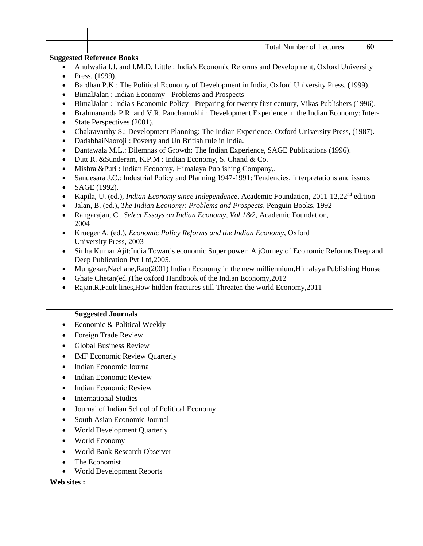| <b>Total Number of Lectures</b>                                                                                                                                                                                                                                                                                                                                                                                                     | 60 |  |  |  |  |  |  |
|-------------------------------------------------------------------------------------------------------------------------------------------------------------------------------------------------------------------------------------------------------------------------------------------------------------------------------------------------------------------------------------------------------------------------------------|----|--|--|--|--|--|--|
| <b>Suggested Reference Books</b>                                                                                                                                                                                                                                                                                                                                                                                                    |    |  |  |  |  |  |  |
| Ahulwalia I.J. and I.M.D. Little : India's Economic Reforms and Development, Oxford University<br>Press, (1999).<br>$\bullet$<br>Bardhan P.K.: The Political Economy of Development in India, Oxford University Press, (1999).<br>$\bullet$<br>BimalJalan: Indian Economy - Problems and Prospects<br>$\bullet$<br>BimalJalan : India's Economic Policy - Preparing for twenty first century, Vikas Publishers (1996).<br>$\bullet$ |    |  |  |  |  |  |  |
| Brahmananda P.R. and V.R. Panchamukhi: Development Experience in the Indian Economy: Inter-<br>$\bullet$<br>State Perspectives (2001).<br>$\bullet$<br>Chakravarthy S.: Development Planning: The Indian Experience, Oxford University Press, (1987).<br>$\bullet$                                                                                                                                                                  |    |  |  |  |  |  |  |
| DadabhaiNaoroji: Poverty and Un British rule in India.<br>$\bullet$<br>Dantawala M.L.: Dilemnas of Growth: The Indian Experience, SAGE Publications (1996).<br>$\bullet$<br>Dutt R. & Sunderam, K.P.M: Indian Economy, S. Chand & Co.<br>$\bullet$<br>Mishra &Puri : Indian Economy, Himalaya Publishing Company,.<br>$\bullet$                                                                                                     |    |  |  |  |  |  |  |
| Sandesara J.C.: Industrial Policy and Planning 1947-1991: Tendencies, Interpretations and issues<br>$\bullet$<br>SAGE (1992).<br>$\bullet$<br>Kapila, U. (ed.), <i>Indian Economy since Independence</i> , Academic Foundation, 2011-12,22 <sup>nd</sup> edition<br>$\bullet$<br>Jalan, B. (ed.), The Indian Economy: Problems and Prospects, Penguin Books, 1992<br>$\bullet$                                                      |    |  |  |  |  |  |  |
| Rangarajan, C., Select Essays on Indian Economy, Vol.1&2, Academic Foundation,<br>$\bullet$<br>2004<br>Krueger A. (ed.), Economic Policy Reforms and the Indian Economy, Oxford<br>$\bullet$                                                                                                                                                                                                                                        |    |  |  |  |  |  |  |
| University Press, 2003<br>Sinha Kumar Ajit:India Towards economic Super power: A jOurney of Economic Reforms, Deep and<br>$\bullet$<br>Deep Publication Pvt Ltd, 2005.                                                                                                                                                                                                                                                              |    |  |  |  |  |  |  |
| Mungekar, Nachane, Rao(2001) Indian Economy in the new milliennium, Himalaya Publishing House<br>$\bullet$<br>Ghate Chetan(ed.)The oxford Handbook of the Indian Economy, 2012<br>$\bullet$<br>Rajan.R, Fault lines, How hidden fractures still Threaten the world Economy, 2011<br>$\bullet$                                                                                                                                       |    |  |  |  |  |  |  |
|                                                                                                                                                                                                                                                                                                                                                                                                                                     |    |  |  |  |  |  |  |
| <b>Suggested Journals</b>                                                                                                                                                                                                                                                                                                                                                                                                           |    |  |  |  |  |  |  |
| Economic & Political Weekly                                                                                                                                                                                                                                                                                                                                                                                                         |    |  |  |  |  |  |  |
| Foreign Trade Review                                                                                                                                                                                                                                                                                                                                                                                                                |    |  |  |  |  |  |  |
| <b>Global Business Review</b>                                                                                                                                                                                                                                                                                                                                                                                                       |    |  |  |  |  |  |  |
| <b>IMF Economic Review Quarterly</b>                                                                                                                                                                                                                                                                                                                                                                                                |    |  |  |  |  |  |  |
| Indian Economic Journal                                                                                                                                                                                                                                                                                                                                                                                                             |    |  |  |  |  |  |  |
| <b>Indian Economic Review</b>                                                                                                                                                                                                                                                                                                                                                                                                       |    |  |  |  |  |  |  |
| <b>Indian Economic Review</b>                                                                                                                                                                                                                                                                                                                                                                                                       |    |  |  |  |  |  |  |
| <b>International Studies</b>                                                                                                                                                                                                                                                                                                                                                                                                        |    |  |  |  |  |  |  |
| Journal of Indian School of Political Economy                                                                                                                                                                                                                                                                                                                                                                                       |    |  |  |  |  |  |  |
| South Asian Economic Journal                                                                                                                                                                                                                                                                                                                                                                                                        |    |  |  |  |  |  |  |
| World Development Quarterly                                                                                                                                                                                                                                                                                                                                                                                                         |    |  |  |  |  |  |  |
| World Economy                                                                                                                                                                                                                                                                                                                                                                                                                       |    |  |  |  |  |  |  |
| <b>World Bank Research Observer</b>                                                                                                                                                                                                                                                                                                                                                                                                 |    |  |  |  |  |  |  |
| The Economist                                                                                                                                                                                                                                                                                                                                                                                                                       |    |  |  |  |  |  |  |
| <b>World Development Reports</b>                                                                                                                                                                                                                                                                                                                                                                                                    |    |  |  |  |  |  |  |
| Web sites:                                                                                                                                                                                                                                                                                                                                                                                                                          |    |  |  |  |  |  |  |